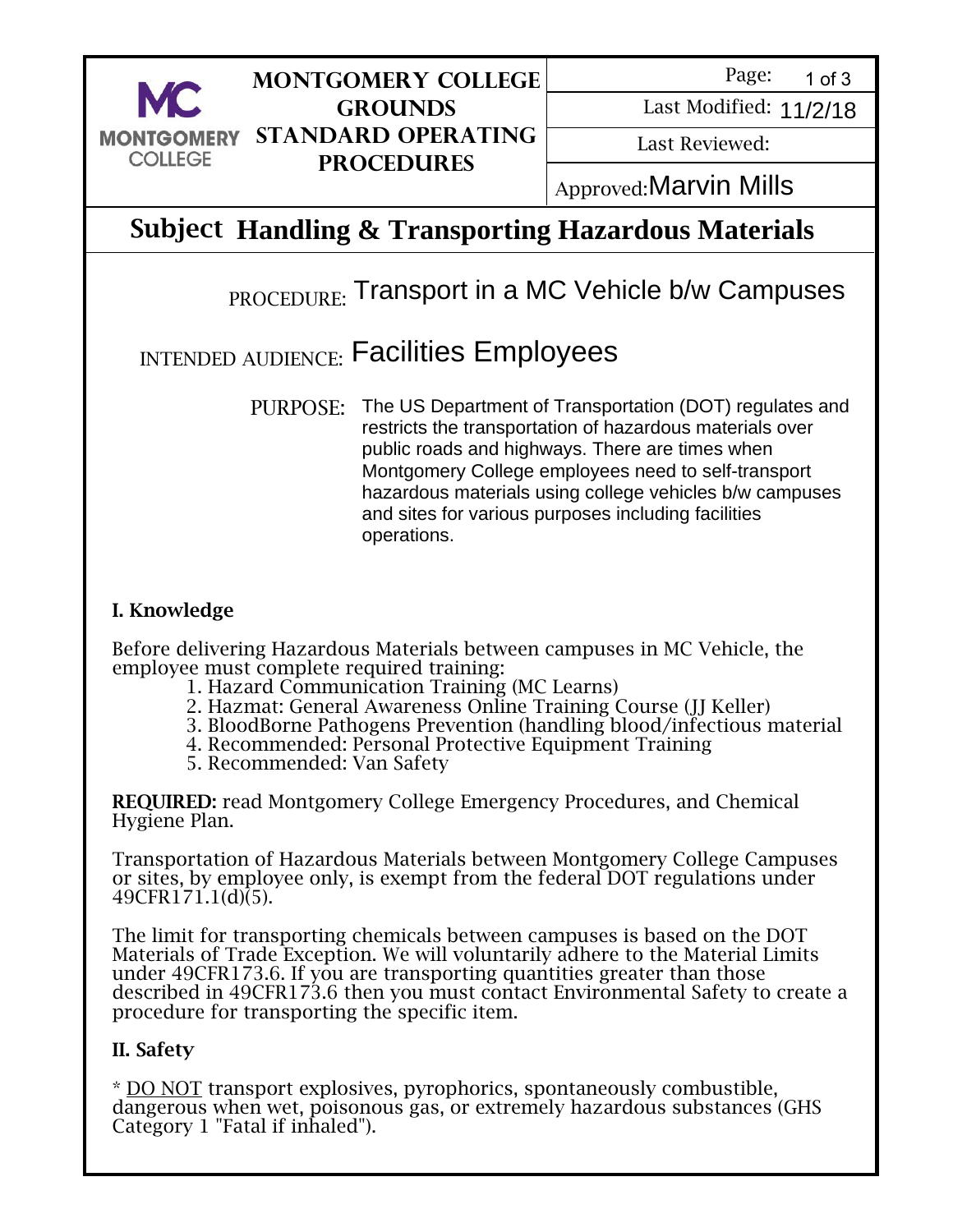

## **Montgomery College Grounds Standard Operating Procedures**

Page: 1 of 3

Last Modified: 11/2/18<br>Last Reviewed:<br>:Marvin Mills

Last Reviewed:

**Approved: Marvin Mills** 

# Subject **Handling & Transporting Hazardous Materials**

# $_{\rm{PROCEDURE:}}$  Transport in a MC Vehicle b/w Campuses

# $_{\rm INTENDED\ AUDIENCE:}$  Facilities Employees

PURPOSE: The US Department of Transportation (DOT) regulates and restricts the transportation of hazardous materials over public roads and highways. There are times when Montgomery College employees need to self-transport hazardous materials using college vehicles b/w campuses and sites for various purposes including facilities operations.

#### I. Knowledge

Before delivering Hazardous Materials between campuses in MC Vehicle, the employee must complete required training:

- 1. Hazard Communication Training (MC Learns)
- 2. Hazmat: General Awareness Online Training Course (JJ Keller)
- 3. BloodBorne Pathogens Prevention (handling blood/infectious material
- 4. Recommended: Personal Protective Equipment Training
- 5. Recommended: Van Safety

REQUIRED: read Montgomery College Emergency Procedures, and Chemical Hygiene Plan.

Transportation of Hazardous Materials between Montgomery College Campuses or sites, by employee only, is exempt from the federal DOT regulations under 49CFR171.1(d)(5).

The limit for transporting chemicals between campuses is based on the DOT Materials of Trade Exception. We will voluntarily adhere to the Material Limits under 49CFR173.6. If you are transporting quantities greater than those described in 49CFR173.6 then you must contact Environmental Safety to create a procedure for transporting the specific item.

### II. Safety

 $\overline{a}$ Ξ

\* DO NOT transport explosives, pyrophorics, spontaneously combustible, dangerous when wet, poisonous gas, or extremely hazardous substances (GHS Category 1 "Fatal if inhaled").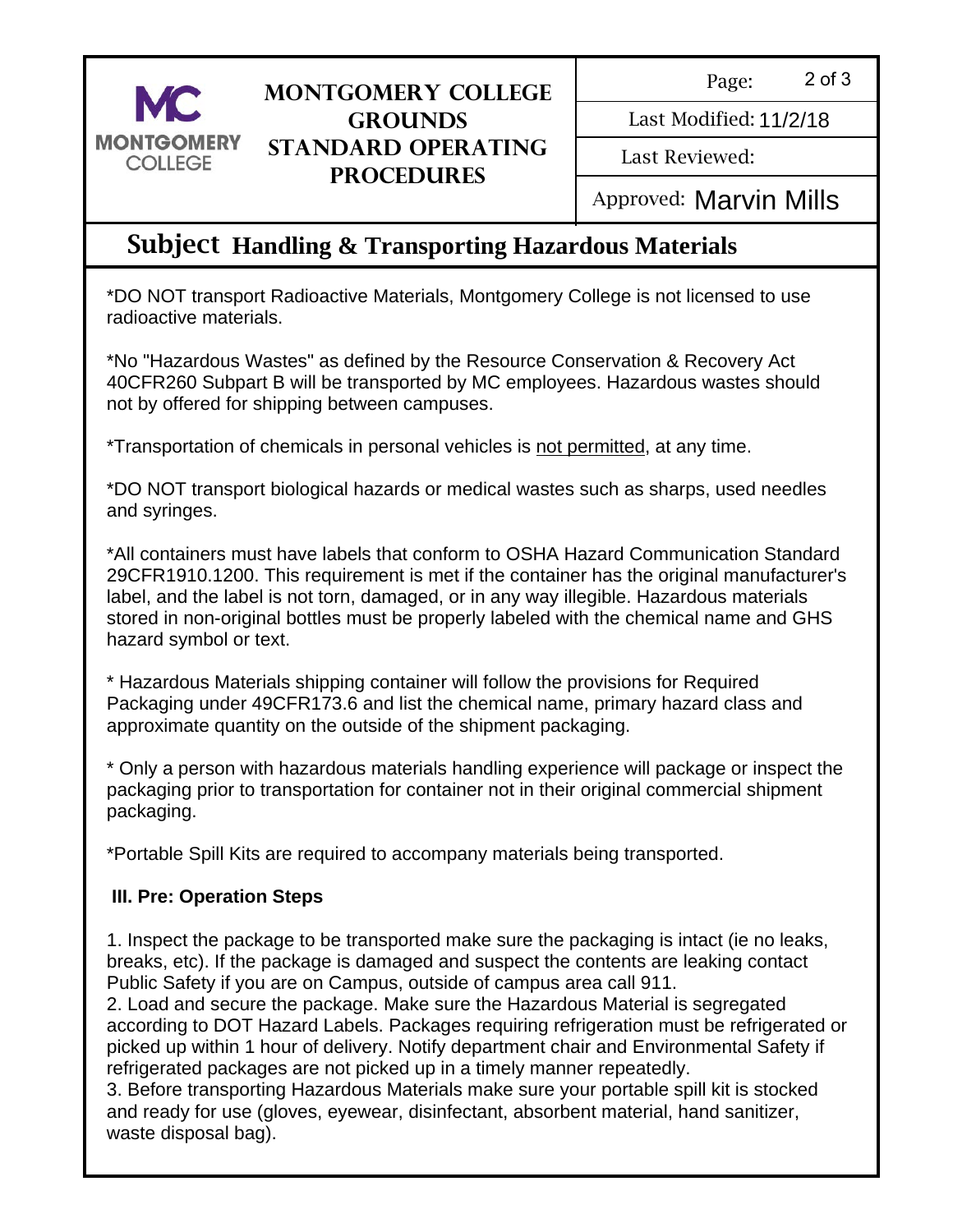

### **Montgomery College Grounds Standard Operating Procedures**

Page: 2 of 3

Last Modified: 11/2/18

Last Reviewed:

Last Modified: 11/2/18<br>Last Reviewed:<br>Approved: **Marvin Mills** 

## Subject **Handling & Transporting Hazardous Materials**

\*DO NOT transport Radioactive Materials, Montgomery College is not licensed to use radioactive materials.

\*No "Hazardous Wastes" as defined by the Resource Conservation & Recovery Act 40CFR260 Subpart B will be transported by MC employees. Hazardous wastes should not by offered for shipping between campuses.

\*Transportation of chemicals in personal vehicles is not permitted, at any time.

\*DO NOT transport biological hazards or medical wastes such as sharps, used needles and syringes.

\*All containers must have labels that conform to OSHA Hazard Communication Standard 29CFR1910.1200. This requirement is met if the container has the original manufacturer's label, and the label is not torn, damaged, or in any way illegible. Hazardous materials stored in non-original bottles must be properly labeled with the chemical name and GHS hazard symbol or text.

\* Hazardous Materials shipping container will follow the provisions for Required Packaging under 49CFR173.6 and list the chemical name, primary hazard class and approximate quantity on the outside of the shipment packaging.

\* Only a person with hazardous materials handling experience will package or inspect the packaging prior to transportation for container not in their original commercial shipment packaging.

\*Portable Spill Kits are required to accompany materials being transported.

### **III. Pre: Operation Steps**

1. Inspect the package to be transported make sure the packaging is intact (ie no leaks, breaks, etc). If the package is damaged and suspect the contents are leaking contact Public Safety if you are on Campus, outside of campus area call 911.

2. Load and secure the package. Make sure the Hazardous Material is segregated according to DOT Hazard Labels. Packages requiring refrigeration must be refrigerated or picked up within 1 hour of delivery. Notify department chair and Environmental Safety if refrigerated packages are not picked up in a timely manner repeatedly.

3. Before transporting Hazardous Materials make sure your portable spill kit is stocked and ready for use (gloves, eyewear, disinfectant, absorbent material, hand sanitizer, waste disposal bag).